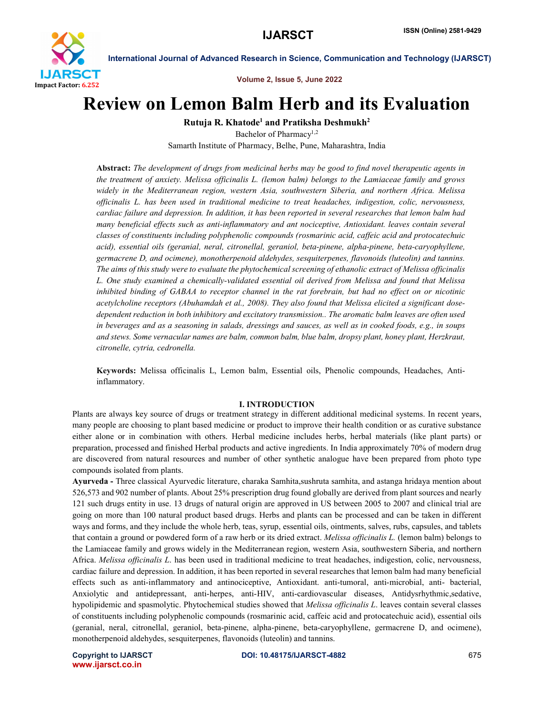

Volume 2, Issue 5, June 2022

# Review on Lemon Balm Herb and its Evaluation

Rutuja R. Khatode<sup>1</sup> and Pratiksha Deshmukh<sup>2</sup>

Bachelor of Pharmacy<sup>1,2</sup> Samarth Institute of Pharmacy, Belhe, Pune, Maharashtra, India

Abstract: *The development of drugs from medicinal herbs may be good to find novel therapeutic agents in the treatment of anxiety. Melissa officinalis L. (lemon balm) belongs to the Lamiaceae family and grows widely in the Mediterranean region, western Asia, southwestern Siberia, and northern Africa. Melissa officinalis L. has been used in traditional medicine to treat headaches, indigestion, colic, nervousness, cardiac failure and depression. In addition, it has been reported in several researches that lemon balm had many beneficial effects such as anti-inflammatory and ant nociceptive, Antioxidant. leaves contain several classes of constituents including polyphenolic compounds (rosmarinic acid, caffeic acid and protocatechuic acid), essential oils (geranial, neral, citronellal, geraniol, beta-pinene, alpha-pinene, beta-caryophyllene, germacrene D, and ocimene), monotherpenoid aldehydes, sesquiterpenes, flavonoids (luteolin) and tannins. The aims of this study were to evaluate the phytochemical screening of ethanolic extract of Melissa officinalis L. One study examined a chemically-validated essential oil derived from Melissa and found that Melissa inhibited binding of GABAA to receptor channel in the rat forebrain, but had no effect on or nicotinic acetylcholine receptors (Abuhamdah et al., 2008). They also found that Melissa elicited a significant dosedependent reduction in both inhibitory and excitatory transmission.. The aromatic balm leaves are often used in beverages and as a seasoning in salads, dressings and sauces, as well as in cooked foods, e.g., in soups and stews. Some vernacular names are balm, common balm, blue balm, dropsy plant, honey plant, Herzkraut, citronelle, cytria, cedronella.*

Keywords: Melissa officinalis L, Lemon balm, Essential oils, Phenolic compounds, Headaches, Antiinflammatory.

#### I. INTRODUCTION

Plants are always key source of drugs or treatment strategy in different additional medicinal systems. In recent years, many people are choosing to plant based medicine or product to improve their health condition or as curative substance either alone or in combination with others. Herbal medicine includes herbs, herbal materials (like plant parts) or preparation, processed and finished Herbal products and active ingredients. In India approximately 70% of modern drug are discovered from natural resources and number of other synthetic analogue have been prepared from photo type compounds isolated from plants.

Ayurveda - Three classical Ayurvedic literature, charaka Samhita,sushruta samhita, and astanga hridaya mention about 526,573 and 902 number of plants. About 25% prescription drug found globally are derived from plant sources and nearly 121 such drugs entity in use. 13 drugs of natural origin are approved in US between 2005 to 2007 and clinical trial are going on more than 100 natural product based drugs. Herbs and plants can be processed and can be taken in different ways and forms, and they include the whole herb, teas, syrup, essential oils, ointments, salves, rubs, capsules, and tablets that contain a ground or powdered form of a raw herb or its dried extract. *Melissa officinalis L.* (lemon balm) belongs to the Lamiaceae family and grows widely in the Mediterranean region, western Asia, southwestern Siberia, and northern Africa. *Melissa officinalis L*. has been used in traditional medicine to treat headaches, indigestion, colic, nervousness, cardiac failure and depression. In addition, it has been reported in several researches that lemon balm had many beneficial effects such as anti-inflammatory and antinociceptive, Antioxidant. anti-tumoral, anti-microbial, anti- bacterial, Anxiolytic and antidepressant, anti-herpes, anti-HIV, anti-cardiovascular diseases, Antidysrhythmic,sedative, hypolipidemic and spasmolytic. Phytochemical studies showed that *Melissa officinalis L*. leaves contain several classes of constituents including polyphenolic compounds (rosmarinic acid, caffeic acid and protocatechuic acid), essential oils (geranial, neral, citronellal, geraniol, beta-pinene, alpha-pinene, beta-caryophyllene, germacrene D, and ocimene), monotherpenoid aldehydes, sesquiterpenes, flavonoids (luteolin) and tannins.

www.ijarsct.co.in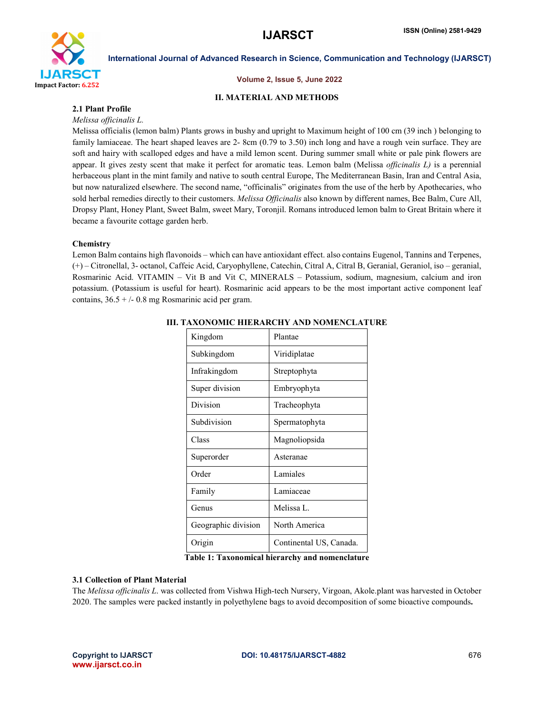

#### Volume 2, Issue 5, June 2022

# II. MATERIAL AND METHODS

# 2.1 Plant Profile

# *Melissa officinalis L.*

Melissa officialis (lemon balm) Plants grows in bushy and upright to Maximum height of 100 cm (39 inch ) belonging to family lamiaceae. The heart shaped leaves are 2- 8cm (0.79 to 3.50) inch long and have a rough vein surface. They are soft and hairy with scalloped edges and have a mild lemon scent. During summer small white or pale pink flowers are appear. It gives zesty scent that make it perfect for aromatic teas. Lemon balm (Melissa *officinalis L)* is a perennial herbaceous plant in the mint family and native to south central Europe, The Mediterranean Basin, Iran and Central Asia, but now naturalized elsewhere. The second name, "officinalis" originates from the use of the herb by Apothecaries, who sold herbal remedies directly to their customers. *Melissa Officinalis* also known by different names, Bee Balm, Cure All, Dropsy Plant, Honey Plant, Sweet Balm, sweet Mary, Toronjil. Romans introduced lemon balm to Great Britain where it became a favourite cottage garden herb.

# **Chemistry**

Lemon Balm contains high flavonoids – which can have antioxidant effect. also contains Eugenol, Tannins and Terpenes, (+) – Citronellal, 3- octanol, Caffeic Acid, Caryophyllene, Catechin, Citral A, Citral B, Geranial, Geraniol, iso – geranial, Rosmarinic Acid. VITAMIN – Vit B and Vit C, MINERALS – Potassium, sodium, magnesium, calcium and iron potassium. (Potassium is useful for heart). Rosmarinic acid appears to be the most important active component leaf contains,  $36.5 + (-0.8 \text{ mg}$  Rosmarinic acid per gram.

| Kingdom             | Plantae                 |  |
|---------------------|-------------------------|--|
| Subkingdom          | Viridiplatae            |  |
| Infrakingdom        | Streptophyta            |  |
| Super division      | Embryophyta             |  |
| Division            | Tracheophyta            |  |
| Subdivision         | Spermatophyta           |  |
| Class               | Magnoliopsida           |  |
| Superorder          | Asteranae               |  |
| Order               | Lamiales                |  |
| Family              | Lamiaceae               |  |
| Genus               | Melissa L.              |  |
| Geographic division | North America           |  |
| Origin              | Continental US, Canada. |  |

# III. TAXONOMIC HIERARCHY AND NOMENCLATURE

Table 1: Taxonomical hierarchy and nomenclature

# 3.1 Collection of Plant Material

The *Melissa officinalis L*. was collected from Vishwa High-tech Nursery, Virgoan, Akole.plant was harvested in October 2020. The samples were packed instantly in polyethylene bags to avoid decomposition of some bioactive compounds.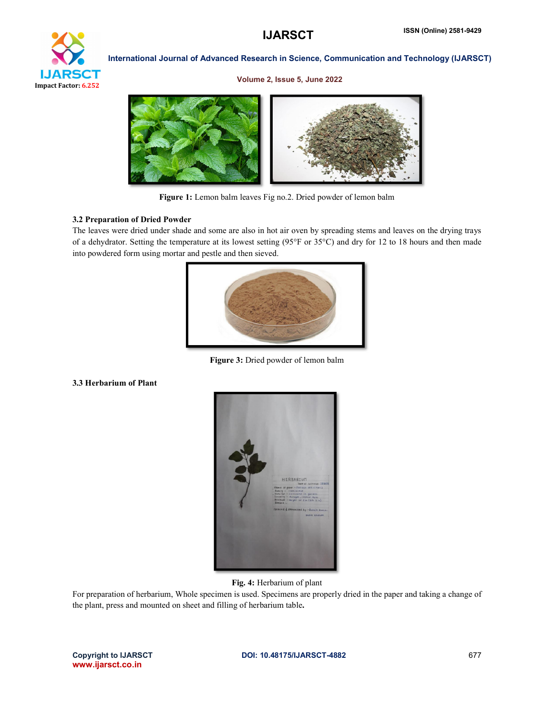

#### Volume 2, Issue 5, June 2022



Figure 1: Lemon balm leaves Fig no.2. Dried powder of lemon balm

# 3.2 Preparation of Dried Powder

The leaves were dried under shade and some are also in hot air oven by spreading stems and leaves on the drying trays of a dehydrator. Setting the temperature at its lowest setting (95°F or 35°C) and dry for 12 to 18 hours and then made into powdered form using mortar and pestle and then sieved.



Figure 3: Dried powder of lemon balm

# 3.3 Herbarium of Plant



Fig. 4: Herbarium of plant

For preparation of herbarium, Whole specimen is used. Specimens are properly dried in the paper and taking a change of the plant, press and mounted on sheet and filling of herbarium table.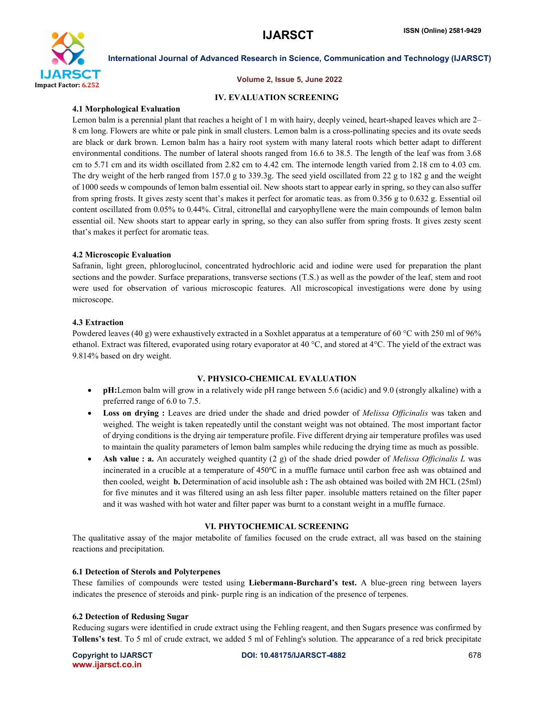

# Volume 2, Issue 5, June 2022

# IV. EVALUATION SCREENING

# 4.1 Morphological Evaluation

Lemon balm is a perennial plant that reaches a height of 1 m with hairy, deeply veined, heart-shaped leaves which are 2– 8 cm long. Flowers are white or pale pink in small clusters. Lemon balm is a cross-pollinating species and its ovate seeds are black or dark brown. Lemon balm has a hairy root system with many lateral roots which better adapt to different environmental conditions. The number of lateral shoots ranged from 16.6 to 38.5. The length of the leaf was from 3.68 cm to 5.71 cm and its width oscillated from 2.82 cm to 4.42 cm. The internode length varied from 2.18 cm to 4.03 cm. The dry weight of the herb ranged from 157.0 g to 339.3g. The seed yield oscillated from 22 g to 182 g and the weight of 1000 seeds w compounds of lemon balm essential oil. New shoots start to appear early in spring, so they can also suffer from spring frosts. It gives zesty scent that's makes it perfect for aromatic teas. as from 0.356 g to 0.632 g. Essential oil content oscillated from 0.05% to 0.44%. Citral, citronellal and caryophyllene were the main compounds of lemon balm essential oil. New shoots start to appear early in spring, so they can also suffer from spring frosts. It gives zesty scent that's makes it perfect for aromatic teas.

# 4.2 Microscopic Evaluation

Safranin, light green, phloroglucinol, concentrated hydrochloric acid and iodine were used for preparation the plant sections and the powder. Surface preparations, transverse sections (T.S.) as well as the powder of the leaf, stem and root were used for observation of various microscopic features. All microscopical investigations were done by using microscope.

# 4.3 Extraction

Powdered leaves (40 g) were exhaustively extracted in a Soxhlet apparatus at a temperature of 60 °C with 250 ml of 96% ethanol. Extract was filtered, evaporated using rotary evaporator at 40 °C, and stored at 4°C. The yield of the extract was 9.814% based on dry weight.

# V. PHYSICO-CHEMICAL EVALUATION

- pH:Lemon balm will grow in a relatively wide pH range between 5.6 (acidic) and 9.0 (strongly alkaline) with a preferred range of 6.0 to 7.5.
- Loss on drying : Leaves are dried under the shade and dried powder of *Melissa Officinalis* was taken and weighed. The weight is taken repeatedly until the constant weight was not obtained. The most important factor of drying conditions is the drying air temperature profile. Five different drying air temperature profiles was used to maintain the quality parameters of lemon balm samples while reducing the drying time as much as possible.
- Ash value : a. An accurately weighed quantity (2 g) of the shade dried powder of *Melissa Officinalis L* was incinerated in a crucible at a temperature of 450℃ in a muffle furnace until carbon free ash was obtained and then cooled, weight b. Determination of acid insoluble ash : The ash obtained was boiled with 2M HCL (25ml) for five minutes and it was filtered using an ash less filter paper. insoluble matters retained on the filter paper and it was washed with hot water and filter paper was burnt to a constant weight in a muffle furnace.

# VI. PHYTOCHEMICAL SCREENING

The qualitative assay of the major metabolite of families focused on the crude extract, all was based on the staining reactions and precipitation.

# 6.1 Detection of Sterols and Polyterpenes

These families of compounds were tested using Liebermann-Burchard's test. A blue-green ring between layers indicates the presence of steroids and pink- purple ring is an indication of the presence of terpenes.

# 6.2 Detection of Redusing Sugar

Reducing sugars were identified in crude extract using the Fehling reagent, and then Sugars presence was confirmed by Tollens's test. To 5 ml of crude extract, we added 5 ml of Fehling's solution. The appearance of a red brick precipitate

www.ijarsct.co.in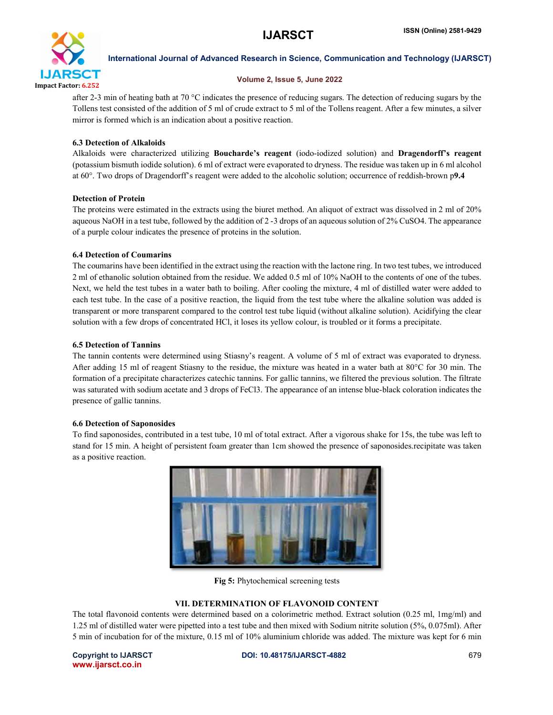

# Volume 2, Issue 5, June 2022

after 2-3 min of heating bath at 70 °C indicates the presence of reducing sugars. The detection of reducing sugars by the Tollens test consisted of the addition of 5 ml of crude extract to 5 ml of the Tollens reagent. After a few minutes, a silver mirror is formed which is an indication about a positive reaction.

# 6.3 Detection of Alkaloids

Alkaloids were characterized utilizing Boucharde's reagent (iodo-iodized solution) and Dragendorff's reagent (potassium bismuth iodide solution). 6 ml of extract were evaporated to dryness. The residue was taken up in 6 ml alcohol at 60°. Two drops of Dragendorff's reagent were added to the alcoholic solution; occurrence of reddish-brown p9.4

# Detection of Protein

The proteins were estimated in the extracts using the biuret method. An aliquot of extract was dissolved in 2 ml of 20% aqueous NaOH in a test tube, followed by the addition of 2 -3 drops of an aqueous solution of 2% CuSO4. The appearance of a purple colour indicates the presence of proteins in the solution.

# 6.4 Detection of Coumarins

The coumarins have been identified in the extract using the reaction with the lactone ring. In two test tubes, we introduced 2 ml of ethanolic solution obtained from the residue. We added 0.5 ml of 10% NaOH to the contents of one of the tubes. Next, we held the test tubes in a water bath to boiling. After cooling the mixture, 4 ml of distilled water were added to each test tube. In the case of a positive reaction, the liquid from the test tube where the alkaline solution was added is transparent or more transparent compared to the control test tube liquid (without alkaline solution). Acidifying the clear solution with a few drops of concentrated HCl, it loses its yellow colour, is troubled or it forms a precipitate.

# 6.5 Detection of Tannins

The tannin contents were determined using Stiasny's reagent. A volume of 5 ml of extract was evaporated to dryness. After adding 15 ml of reagent Stiasny to the residue, the mixture was heated in a water bath at 80°C for 30 min. The formation of a precipitate characterizes catechic tannins. For gallic tannins, we filtered the previous solution. The filtrate was saturated with sodium acetate and 3 drops of FeCl3. The appearance of an intense blue-black coloration indicates the presence of gallic tannins.

# 6.6 Detection of Saponosides

To find saponosides, contributed in a test tube, 10 ml of total extract. After a vigorous shake for 15s, the tube was left to stand for 15 min. A height of persistent foam greater than 1cm showed the presence of saponosides.recipitate was taken as a positive reaction.



Fig 5: Phytochemical screening tests

# VII. DETERMINATION OF FLAVONOID CONTENT

The total flavonoid contents were determined based on a colorimetric method. Extract solution (0.25 ml, 1mg/ml) and 1.25 ml of distilled water were pipetted into a test tube and then mixed with Sodium nitrite solution (5%, 0.075ml). After 5 min of incubation for of the mixture, 0.15 ml of 10% aluminium chloride was added. The mixture was kept for 6 min

www.ijarsct.co.in

Copyright to IJARSCT **DOI: 10.48175/IJARSCT-4882** 679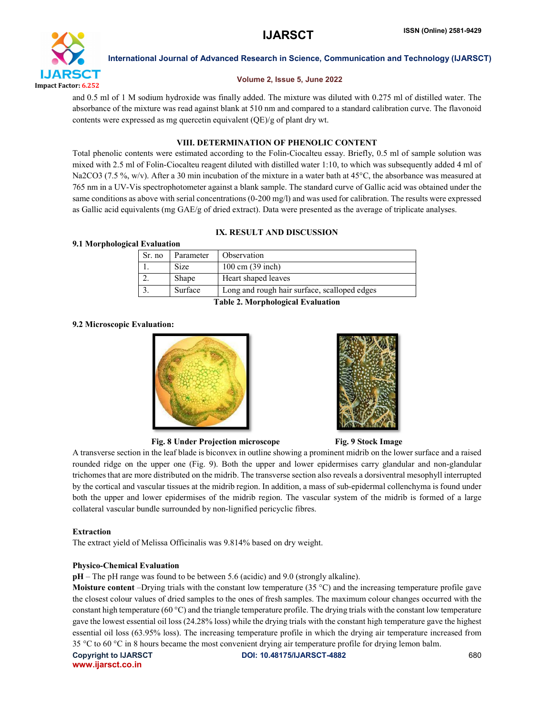

# Volume 2, Issue 5, June 2022

and 0.5 ml of 1 M sodium hydroxide was finally added. The mixture was diluted with 0.275 ml of distilled water. The absorbance of the mixture was read against blank at 510 nm and compared to a standard calibration curve. The flavonoid contents were expressed as mg quercetin equivalent (QE)/g of plant dry wt.

# VIII. DETERMINATION OF PHENOLIC CONTENT

Total phenolic contents were estimated according to the Folin-Ciocalteu essay. Briefly, 0.5 ml of sample solution was mixed with 2.5 ml of Folin-Ciocalteu reagent diluted with distilled water 1:10, to which was subsequently added 4 ml of Na2CO3 (7.5 %, w/v). After a 30 min incubation of the mixture in a water bath at 45 °C, the absorbance was measured at 765 nm in a UV-Vis spectrophotometer against a blank sample. The standard curve of Gallic acid was obtained under the same conditions as above with serial concentrations (0-200 mg/l) and was used for calibration. The results were expressed as Gallic acid equivalents (mg GAE/g of dried extract). Data were presented as the average of triplicate analyses.

# IX. RESULT AND DISCUSSION

# 9.1 Morphological Evaluation

| Sr. no                             | Parameter   | Observation                                  |  |
|------------------------------------|-------------|----------------------------------------------|--|
|                                    | <b>Size</b> | $100 \text{ cm}$ (39 inch)                   |  |
|                                    | Shape       | Heart shaped leaves                          |  |
|                                    | Surface     | Long and rough hair surface, scalloped edges |  |
| Takla 2. Maurikalagiaal Evaluation |             |                                              |  |

Table 2. Morphological Evaluation

# 9.2 Microscopic Evaluation:





# Fig. 8 Under Projection microscope Fig. 9 Stock Image

A transverse section in the leaf blade is biconvex in outline showing a prominent midrib on the lower surface and a raised rounded ridge on the upper one (Fig. 9). Both the upper and lower epidermises carry glandular and non-glandular trichomes that are more distributed on the midrib. The transverse section also reveals a dorsiventral mesophyll interrupted by the cortical and vascular tissues at the midrib region. In addition, a mass of sub-epidermal collenchyma is found under both the upper and lower epidermises of the midrib region. The vascular system of the midrib is formed of a large collateral vascular bundle surrounded by non-lignified pericyclic fibres.

# Extraction

The extract yield of Melissa Officinalis was 9.814% based on dry weight.

# Physico-Chemical Evaluation

pH – The pH range was found to be between 5.6 (acidic) and 9.0 (strongly alkaline).

**Moisture content** –Drying trials with the constant low temperature (35  $^{\circ}$ C) and the increasing temperature profile gave the closest colour values of dried samples to the ones of fresh samples. The maximum colour changes occurred with the constant high temperature (60 °C) and the triangle temperature profile. The drying trials with the constant low temperature gave the lowest essential oil loss (24.28% loss) while the drying trials with the constant high temperature gave the highest essential oil loss (63.95% loss). The increasing temperature profile in which the drying air temperature increased from 35 °C to 60 °C in 8 hours became the most convenient drying air temperature profile for drying lemon balm.

www.ijarsct.co.in

Copyright to IJARSCT **DOI: 10.48175/IJARSCT-4882** 680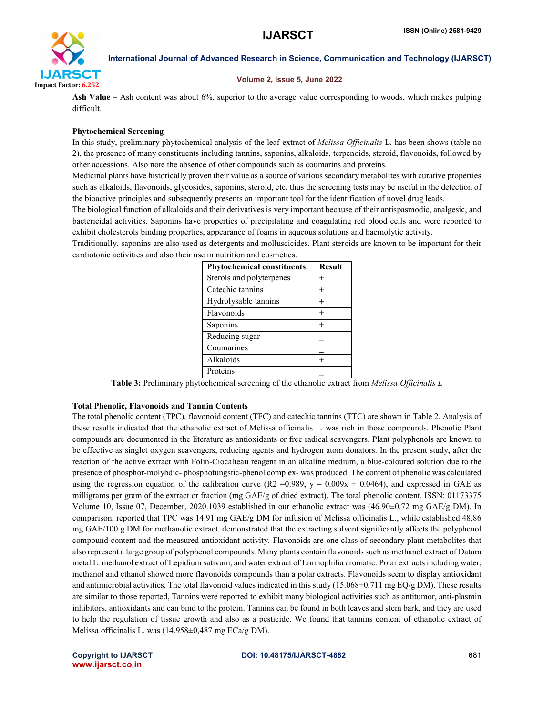

# Volume 2, Issue 5, June 2022

Ash Value – Ash content was about 6%, superior to the average value corresponding to woods, which makes pulping difficult.

# Phytochemical Screening

In this study, preliminary phytochemical analysis of the leaf extract of *Melissa Officinalis* L. has been shows (table no 2), the presence of many constituents including tannins, saponins, alkaloids, terpenoids, steroid, flavonoids, followed by other accessions. Also note the absence of other compounds such as coumarins and proteins.

Medicinal plants have historically proven their value as a source of various secondary metabolites with curative properties such as alkaloids, flavonoids, glycosides, saponins, steroid, etc. thus the screening tests may be useful in the detection of the bioactive principles and subsequently presents an important tool for the identification of novel drug leads.

The biological function of alkaloids and their derivatives is very important because of their antispasmodic, analgesic, and bactericidal activities. Saponins have properties of precipitating and coagulating red blood cells and were reported to exhibit cholesterols binding properties, appearance of foams in aqueous solutions and haemolytic activity.

Traditionally, saponins are also used as detergents and molluscicides. Plant steroids are known to be important for their cardiotonic activities and also their use in nutrition and cosmetics.

| <b>Phytochemical constituents</b> | <b>Result</b> |
|-----------------------------------|---------------|
| Sterols and polyterpenes          |               |
| Catechic tannins                  |               |
| Hydrolysable tannins              | $\ddot{}$     |
| Flavonoids                        |               |
| Saponins                          |               |
| Reducing sugar                    |               |
| Coumarines                        |               |
| Alkaloids                         |               |
| Proteins                          |               |

Table 3: Preliminary phytochemical screening of the ethanolic extract from *Melissa Officinalis L*

# Total Phenolic, Flavonoids and Tannin Contents

The total phenolic content (TPC), flavonoid content (TFC) and catechic tannins (TTC) are shown in Table 2. Analysis of these results indicated that the ethanolic extract of Melissa officinalis L. was rich in those compounds. Phenolic Plant compounds are documented in the literature as antioxidants or free radical scavengers. Plant polyphenols are known to be effective as singlet oxygen scavengers, reducing agents and hydrogen atom donators. In the present study, after the reaction of the active extract with Folin-Ciocalteau reagent in an alkaline medium, a blue-coloured solution due to the presence of phosphor-molybdic- phosphotungstic-phenol complex- was produced. The content of phenolic was calculated using the regression equation of the calibration curve (R2 = 0.989,  $y = 0.009x + 0.0464$ ), and expressed in GAE as milligrams per gram of the extract or fraction (mg GAE/g of dried extract). The total phenolic content. ISSN: 01173375 Volume 10, Issue 07, December, 2020.1039 established in our ethanolic extract was (46.90±0.72 mg GAE/g DM). In comparison, reported that TPC was 14.91 mg GAE/g DM for infusion of Melissa officinalis L., while established 48.86 mg GAE/100 g DM for methanolic extract. demonstrated that the extracting solvent significantly affects the polyphenol compound content and the measured antioxidant activity. Flavonoids are one class of secondary plant metabolites that also represent a large group of polyphenol compounds. Many plants contain flavonoids such as methanol extract of Datura metal L. methanol extract of Lepidium sativum, and water extract of Limnophilia aromatic. Polar extracts including water, methanol and ethanol showed more flavonoids compounds than a polar extracts. Flavonoids seem to display antioxidant and antimicrobial activities. The total flavonoid values indicated in this study  $(15.068\pm0.711$  mg EQ/g DM). These results are similar to those reported, Tannins were reported to exhibit many biological activities such as antitumor, anti-plasmin inhibitors, antioxidants and can bind to the protein. Tannins can be found in both leaves and stem bark, and they are used to help the regulation of tissue growth and also as a pesticide. We found that tannins content of ethanolic extract of Melissa officinalis L. was (14.958±0,487 mg ECa/g DM).

#### Copyright to IJARSCT **DOI: 10.48175/IJARSCT-4882** 681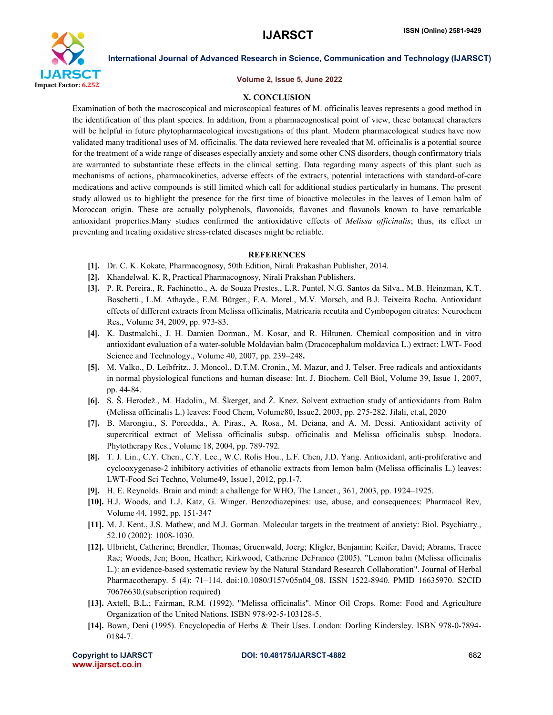

#### Volume 2, Issue 5, June 2022

# X. CONCLUSION

Examination of both the macroscopical and microscopical features of M. officinalis leaves represents a good method in the identification of this plant species. In addition, from a pharmacognostical point of view, these botanical characters will be helpful in future phytopharmacological investigations of this plant. Modern pharmacological studies have now validated many traditional uses of M. officinalis. The data reviewed here revealed that M. officinalis is a potential source for the treatment of a wide range of diseases especially anxiety and some other CNS disorders, though confirmatory trials are warranted to substantiate these effects in the clinical setting. Data regarding many aspects of this plant such as mechanisms of actions, pharmacokinetics, adverse effects of the extracts, potential interactions with standard-of-care medications and active compounds is still limited which call for additional studies particularly in humans. The present study allowed us to highlight the presence for the first time of bioactive molecules in the leaves of Lemon balm of Moroccan origin. These are actually polyphenols, flavonoids, flavones and flavanols known to have remarkable antioxidant properties.Many studies confirmed the antioxidative effects of *Melissa officinalis*; thus, its effect in preventing and treating oxidative stress-related diseases might be reliable.

#### **REFERENCES**

- [1]. Dr. C. K. Kokate, Pharmacognosy, 50th Edition, Nirali Prakashan Publisher, 2014.
- [2]. Khandelwal. K. R, Practical Pharmacognosy, Nirali Prakshan Publishers.
- [3]. P. R. Pereira., R. Fachinetto., A. de Souza Prestes., L.R. Puntel, N.G. Santos da Silva., M.B. Heinzman, K.T. Boschetti., L.M. Athayde., E.M. Bürger., F.A. Morel., M.V. Morsch, and B.J. Teixeira Rocha. Antioxidant effects of different extracts from Melissa officinalis, Matricaria recutita and Cymbopogon citrates: Neurochem Res., Volume 34, 2009, pp. 973-83.
- [4]. K. Dastmalchi., J. H. Damien Dorman., M. Kosar, and R. Hiltunen. Chemical composition and in vitro antioxidant evaluation of a water-soluble Moldavian balm (Dracocephalum moldavica L.) extract: LWT- Food Science and Technology., Volume 40, 2007, pp. 239–248.
- [5]. M. Valko., D. Leibfritz., J. Moncol., D.T.M. Cronin., M. Mazur, and J. Telser. Free radicals and antioxidants in normal physiological functions and human disease: Int. J. Biochem. Cell Biol, Volume 39, Issue 1, 2007, pp. 44-84.
- [6]. S. Š. Herodež., M. Hadolin., M. Škerget, and Ž. Knez. Solvent extraction study of antioxidants from Balm (Melissa officinalis L.) leaves: Food Chem, Volume80, Issue2, 2003, pp. 275-282. Jilali, et.al, 2020
- [7]. B. Marongiu., S. Porcedda., A. Piras., A. Rosa., M. Deiana, and A. M. Dessi. Antioxidant activity of supercritical extract of Melissa officinalis subsp. officinalis and Melissa officinalis subsp. Inodora. Phytotherapy Res., Volume 18, 2004, pp. 789-792.
- [8]. T. J. Lin., C.Y. Chen., C.Y. Lee., W.C. Rolis Hou., L.F. Chen, J.D. Yang. Antioxidant, anti-proliferative and cyclooxygenase-2 inhibitory activities of ethanolic extracts from lemon balm (Melissa officinalis L.) leaves: LWT-Food Sci Techno, Volume49, Issue1, 2012, pp.1-7.
- [9]. H. E. Reynolds. Brain and mind: a challenge for WHO, The Lancet., 361, 2003, pp. 1924–1925.
- [10]. H.J. Woods, and L.J. Katz, G. Winger. Benzodiazepines: use, abuse, and consequences: Pharmacol Rev, Volume 44, 1992, pp. 151-347
- [11]. M. J. Kent., J.S. Mathew, and M.J. Gorman. Molecular targets in the treatment of anxiety: Biol. Psychiatry., 52.10 (2002): 1008-1030.
- [12]. Ulbricht, Catherine; Brendler, Thomas; Gruenwald, Joerg; Kligler, Benjamin; Keifer, David; Abrams, Tracee Rae; Woods, Jen; Boon, Heather; Kirkwood, Catherine DeFranco (2005). "Lemon balm (Melissa officinalis L.): an evidence-based systematic review by the Natural Standard Research Collaboration". Journal of Herbal Pharmacotherapy. 5 (4): 71–114. doi:10.1080/J157v05n04\_08. ISSN 1522-8940. PMID 16635970. S2CID 70676630.(subscription required)
- [13]. Axtell, B.L.; Fairman, R.M. (1992). "Melissa officinalis". Minor Oil Crops. Rome: Food and Agriculture Organization of the United Nations. ISBN 978-92-5-103128-5.
- [14]. Bown, Deni (1995). Encyclopedia of Herbs & Their Uses. London: Dorling Kindersley. ISBN 978-0-7894- 0184-7.